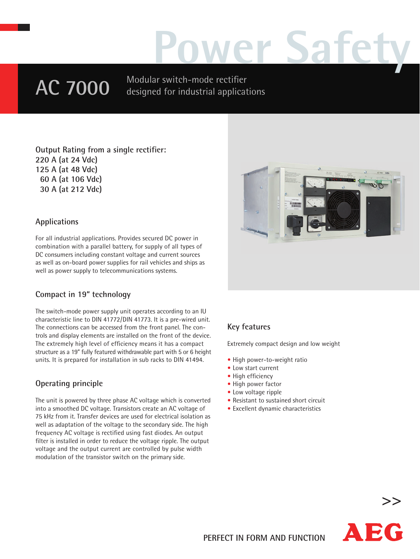# **Power Safety**

## **AC 7000**

Modular switch-mode rectifier designed for industrial applications

**Output Rating from a single rectifier: 220 A (at 24 Vdc) 125 A (at 48 Vdc) 60 A (at 106 Vdc) 30 A (at 212 Vdc)**

#### **Applications**

For all industrial applications. Provides secured DC power in combination with a parallel battery, for supply of all types of DC consumers including constant voltage and current sources as well as on-board power supplies for rail vehicles and ships as well as power supply to telecommunications systems.

#### **Compact in 19" technology**

The switch-mode power supply unit operates according to an IU characteristic line to DIN 41772/DIN 41773. It is a pre-wired unit. The connections can be accessed from the front panel. The controls and display elements are installed on the front of the device. The extremely high level of efficiency means it has a compact structure as a 19" fully featured withdrawable part with 5 or 6 height units. It is prepared for installation in sub racks to DIN 41494.

#### **Operating principle**

The unit is powered by three phase AC voltage which is converted into a smoothed DC voltage. Transistors create an AC voltage of 75 kHz from it. Transfer devices are used for electrical isolation as well as adaptation of the voltage to the secondary side. The high frequency AC voltage is rectified using fast diodes. An output filter is installed in order to reduce the voltage ripple. The output voltage and the output current are controlled by pulse width modulation of the transistor switch on the primary side.



#### **Key features**

Extremely compact design and low weight

- High power-to-weight ratio
- Low start current
- High efficiency
- High power factor
- Low voltage ripple
- Resistant to sustained short circuit
- Excellent dynamic characteristics



**>>**